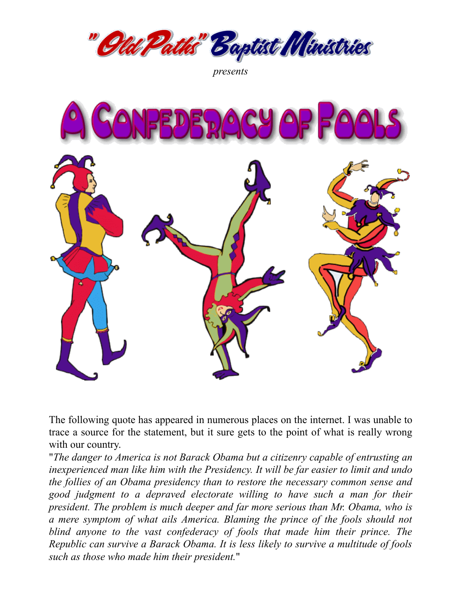

*presents*



The following quote has appeared in numerous places on the internet. I was unable to trace a source for the statement, but it sure gets to the point of what is really wrong with our country.

"*The danger to America is not Barack Obama but a citizenry capable of entrusting an inexperienced man like him with the Presidency. It will be far easier to limit and undo the follies of an Obama presidency than to restore the necessary common sense and good judgment to a depraved electorate willing to have such a man for their president. The problem is much deeper and far more serious than Mr. Obama, who is a mere symptom of what ails America. Blaming the prince of the fools should not blind anyone to the vast confederacy of fools that made him their prince. The Republic can survive a Barack Obama. It is less likely to survive a multitude of fools such as those who made him their president.*"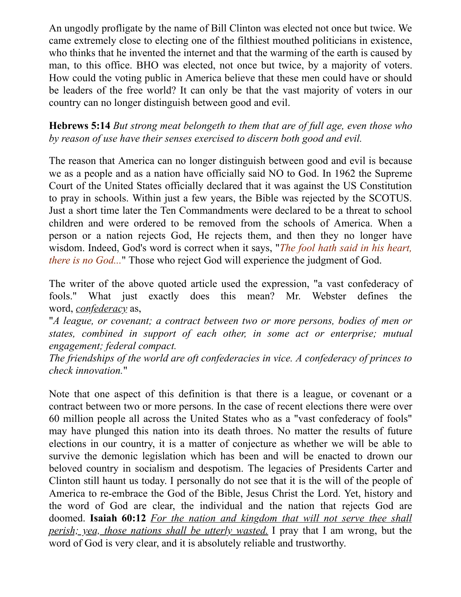An ungodly profligate by the name of Bill Clinton was elected not once but twice. We came extremely close to electing one of the filthiest mouthed politicians in existence, who thinks that he invented the internet and that the warming of the earth is caused by man, to this office. BHO was elected, not once but twice, by a majority of voters. How could the voting public in America believe that these men could have or should be leaders of the free world? It can only be that the vast majority of voters in our country can no longer distinguish between good and evil.

**Hebrews 5:14** *But strong meat belongeth to them that are of full age, even those who by reason of use have their senses exercised to discern both good and evil.*

The reason that America can no longer distinguish between good and evil is because we as a people and as a nation have officially said NO to God. In 1962 the Supreme Court of the United States officially declared that it was against the US Constitution to pray in schools. Within just a few years, the Bible was rejected by the SCOTUS. Just a short time later the Ten Commandments were declared to be a threat to school children and were ordered to be removed from the schools of America. When a person or a nation rejects God, He rejects them, and then they no longer have wisdom. Indeed, God's word is correct when it says, "*The fool hath said in his heart, there is no God...*" Those who reject God will experience the judgment of God.

The writer of the above quoted article used the expression, "a vast confederacy of fools." What just exactly does this mean? Mr. Webster defines the word, *confederacy* as,

"*A league, or covenant; a contract between two or more persons, bodies of men or states, combined in support of each other, in some act or enterprise; mutual engagement; federal compact.*

*The friendships of the world are oft confederacies in vice. A confederacy of princes to check innovation.*"

Note that one aspect of this definition is that there is a league, or covenant or a contract between two or more persons. In the case of recent elections there were over 60 million people all across the United States who as a "vast confederacy of fools" may have plunged this nation into its death throes. No matter the results of future elections in our country, it is a matter of conjecture as whether we will be able to survive the demonic legislation which has been and will be enacted to drown our beloved country in socialism and despotism. The legacies of Presidents Carter and Clinton still haunt us today. I personally do not see that it is the will of the people of America to re-embrace the God of the Bible, Jesus Christ the Lord. Yet, history and the word of God are clear, the individual and the nation that rejects God are doomed. **Isaiah 60:12** *For the nation and kingdom that will not serve thee shall perish; yea, those nations shall be utterly wasted.* I pray that I am wrong, but the word of God is very clear, and it is absolutely reliable and trustworthy.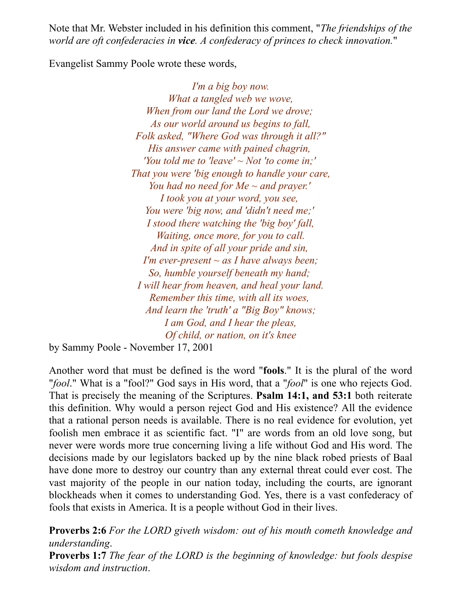Note that Mr. Webster included in his definition this comment, "*The friendships of the world are oft confederacies in vice. A confederacy of princes to check innovation.*"

Evangelist Sammy Poole wrote these words,

*I'm a big boy now. What a tangled web we wove, When from our land the Lord we drove; As our world around us begins to fall, Folk asked, "Where God was through it all?" His answer came with pained chagrin, 'You told me to 'leave' ~ Not 'to come in;' That you were 'big enough to handle your care, You had no need for Me ~ and prayer.' I took you at your word, you see, You were 'big now, and 'didn't need me;' I stood there watching the 'big boy' fall, Waiting, once more, for you to call. And in spite of all your pride and sin, I'm ever-present ~ as I have always been; So, humble yourself beneath my hand; I will hear from heaven, and heal your land. Remember this time, with all its woes, And learn the 'truth' a "Big Boy" knows; I am God, and I hear the pleas, Of child, or nation, on it's knee*

by Sammy Poole - November 17, 2001

Another word that must be defined is the word "**fools**." It is the plural of the word "*fool*." What is a "fool?" God says in His word, that a "*fool*" is one who rejects God. That is precisely the meaning of the Scriptures. **Psalm 14:1, and 53:1** both reiterate this definition. Why would a person reject God and His existence? All the evidence that a rational person needs is available. There is no real evidence for evolution, yet foolish men embrace it as scientific fact. "I" are words from an old love song, but never were words more true concerning living a life without God and His word. The decisions made by our legislators backed up by the nine black robed priests of Baal have done more to destroy our country than any external threat could ever cost. The vast majority of the people in our nation today, including the courts, are ignorant blockheads when it comes to understanding God. Yes, there is a vast confederacy of fools that exists in America. It is a people without God in their lives.

**Proverbs 2:6** *For the LORD giveth wisdom: out of his mouth cometh knowledge and understanding*.

**Proverbs 1:7** *The fear of the LORD is the beginning of knowledge: but fools despise wisdom and instruction*.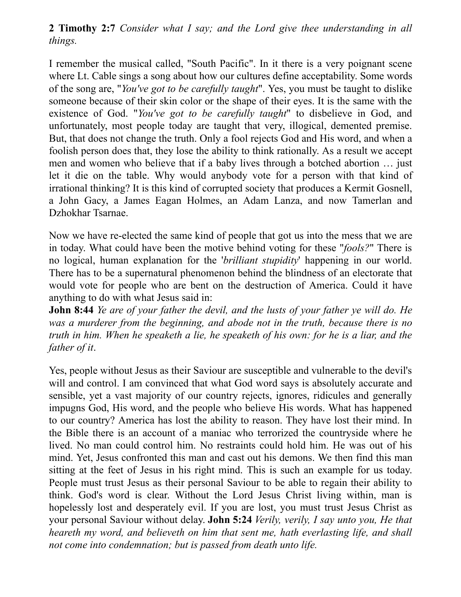**2 Timothy 2:7** *Consider what I say; and the Lord give thee understanding in all things.*

I remember the musical called, "South Pacific". In it there is a very poignant scene where Lt. Cable sings a song about how our cultures define acceptability. Some words of the song are, "*You've got to be carefully taught*". Yes, you must be taught to dislike someone because of their skin color or the shape of their eyes. It is the same with the existence of God. "*You've got to be carefully taught*" to disbelieve in God, and unfortunately, most people today are taught that very, illogical, demented premise. But, that does not change the truth. Only a fool rejects God and His word, and when a foolish person does that, they lose the ability to think rationally. As a result we accept men and women who believe that if a baby lives through a botched abortion … just let it die on the table. Why would anybody vote for a person with that kind of irrational thinking? It is this kind of corrupted society that produces a Kermit Gosnell, a John Gacy, a James Eagan Holmes, an Adam Lanza, and now Tamerlan and Dzhokhar Tsarnae.

Now we have re-elected the same kind of people that got us into the mess that we are in today. What could have been the motive behind voting for these "*fools?*" There is no logical, human explanation for the '*brilliant stupidity*' happening in our world. There has to be a supernatural phenomenon behind the blindness of an electorate that would vote for people who are bent on the destruction of America. Could it have anything to do with what Jesus said in:

**John 8:44** *Ye are of your father the devil, and the lusts of your father ye will do. He was a murderer from the beginning, and abode not in the truth, because there is no* truth in him. When he speaketh a lie, he speaketh of his own: for he is a liar, and the *father of it*.

Yes, people without Jesus as their Saviour are susceptible and vulnerable to the devil's will and control. I am convinced that what God word says is absolutely accurate and sensible, yet a vast majority of our country rejects, ignores, ridicules and generally impugns God, His word, and the people who believe His words. What has happened to our country? America has lost the ability to reason. They have lost their mind. In the Bible there is an account of a maniac who terrorized the countryside where he lived. No man could control him. No restraints could hold him. He was out of his mind. Yet, Jesus confronted this man and cast out his demons. We then find this man sitting at the feet of Jesus in his right mind. This is such an example for us today. People must trust Jesus as their personal Saviour to be able to regain their ability to think. God's word is clear. Without the Lord Jesus Christ living within, man is hopelessly lost and desperately evil. If you are lost, you must trust Jesus Christ as your personal Saviour without delay. **John 5:24** *Verily, verily, I say unto you, He that heareth my word, and believeth on him that sent me, hath everlasting life, and shall not come into condemnation; but is passed from death unto life.*